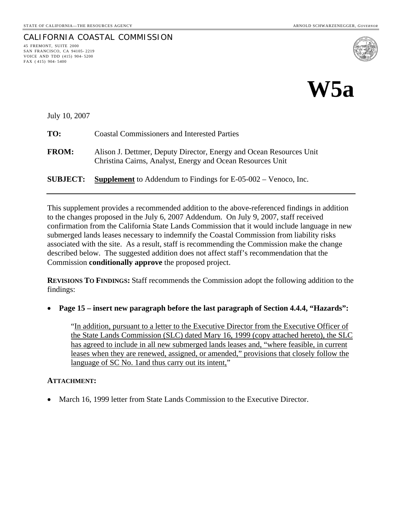45 FREMONT, SUITE 2000 SAN FRANCISCO, CA 94105- 2219 VOICE AND TDD (415) 904- 5200

FAX ( 415) 904- 5400

CALIFORNIA COASTAL COMMISSION



July 10, 2007

| TO:             | <b>Coastal Commissioners and Interested Parties</b>                                                                               |
|-----------------|-----------------------------------------------------------------------------------------------------------------------------------|
| <b>FROM:</b>    | Alison J. Dettmer, Deputy Director, Energy and Ocean Resources Unit<br>Christina Cairns, Analyst, Energy and Ocean Resources Unit |
| <b>SUBJECT:</b> | <b>Supplement</b> to Addendum to Findings for $E$ -05-002 – Venoco, Inc.                                                          |

This supplement provides a recommended addition to the above-referenced findings in addition to the changes proposed in the July 6, 2007 Addendum. On July 9, 2007, staff received confirmation from the California State Lands Commission that it would include language in new submerged lands leases necessary to indemnify the Coastal Commission from liability risks associated with the site. As a result, staff is recommending the Commission make the change described below. The suggested addition does not affect staff's recommendation that the Commission **conditionally approve** the proposed project.

**REVISIONS TO FINDINGS:** Staff recommends the Commission adopt the following addition to the findings:

• **Page 15 – insert new paragraph before the last paragraph of Section 4.4.4, "Hazards":**

"In addition, pursuant to a letter to the Executive Director from the Executive Officer of the State Lands Commission (SLC) dated Mary 16, 1999 (copy attached hereto), the SLC has agreed to include in all new submerged lands leases and, "where feasible, in current leases when they are renewed, assigned, or amended," provisions that closely follow the language of SC No. 1 and thus carry out its intent,"

#### **ATTACHMENT:**

• March 16, 1999 letter from State Lands Commission to the Executive Director.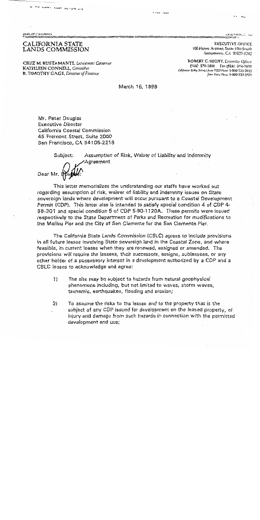A VY LOUI HUIT IL'UT III

**STATE OF CALBORNIA** 

#### CALIFORNIA STATE LANDS COMMISSION

CRUZ M. BUSTAMANTE, Lieutenant Governor KATHLEEN CONNELL, Controller **B. TIMOTHY GAGE, Director of Finance** 

GRAVITANIS COMP

**EXECUTIVE OFFICE** 100 Howe Avenue, Suite 100-South Sacramento, CA 95825-8202.

ROBERT C. HIGHT, Lxconley Officer (916) 574-1800 Fax (916) 574-1810 California Relay Service from TDD Plante 1-800-735-2922 from Voice Phane 1-800-735-2929

March 16, 1999

**A 4363 ASSIS** 

Mr. Peter Douglas **Executive Director** California Coastal Commission 45 Fremont Street, Suite 2000 San Francisco, CA 94105-2219

Subject:

Assumption of Risk, Waiver of Liability and Indemnity Agreement

Dear Mr.

This letter memorializes the understanding our staffs have worked out regarding assumption of risk, waiver of liability and indemnity issues on State sovereign lands where development will occur pursuant to a Coastal Development Permit (CDP). This letter also is intended to satisfy special condition 4 of CDP 4. 98-301 and special condition 5 of CDP 5-90-1120A. These permits were issued respectively to the State Department of Parks and Recreation for modifications to the Malibu Pier and the City of San Clemente for the San Clemente Pier.

The California State Lands Commission (CSLC) agrees to include provisions in all future leases involving State sovereign land in the Coastal Zone, and where feasible, in current leases when they are renewed, assigned or amended. The provisions will require the lessees, their successors, assigns, sublessees, or any other holder of a possessory interest in a development authorized by a CDP and a CSLC leases to acknowledge and agree:

- $\left( \begin{matrix} 1 \end{matrix} \right)$ The site may be subject to hazards from natural geophysical phenomena including, but not limited to waves, storm waves, tsunamis, earthquakes, flooding and erosion;
- $21$ To assume the risks to the lessee and to the property that is the subject of any CDP issued for development on the leased property, of injury and damage from such hazards in connection with the permitted development and use;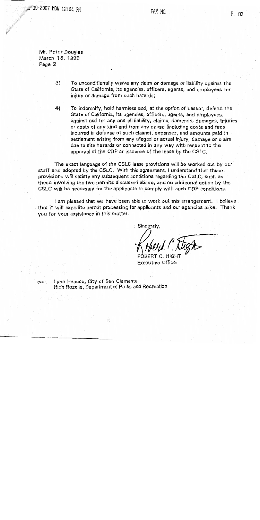209-2007 MON 12:54 PM

Mr. Peter Douglas March 16, 1999 Page 2

> $3)$ To unconditionally waive any claim or damage or liability against the State of California, its agencies, officers, agents, and employees for injury or damage from such hazards;

To indemnify, hold harmless and, at the option of Lessor, defend the  $4)$ State of California, its agencies, officers, agents, and employees. against and for any and all liability, claims, demands, damages, injuries or costs of any kind and from any cause (including costs and fees incurred in defense of such claims), expenses, and amounts paid in settlement arising from any alleged or actual injury, damage or claim due to site hazards or connected in any way with respect to the approval of the CDP or issuance of the lease by the CSLC.

The exact language of the CSLC lease provisions will be worked out by our staff and adopted by the CSLC. With this agreement, I understand that these provisions will satisfy any subsequent conditions regarding the CSLC, such as those involving the two permits discussed above, and no additional action by the CSLC will be necessary for the applicants to comply with such CDP conditions.

I am pleased that we have been able to work out this arrangement. I believe that it will expedite permit processing for applicants and our agencies alike. Thank you for your assistance in this matter.

Sincerely,

**Executive Officer** 

Lynn Heacox, City of San Clemente  $CC$ Rich Rozelle, Department of Parks and Recreation.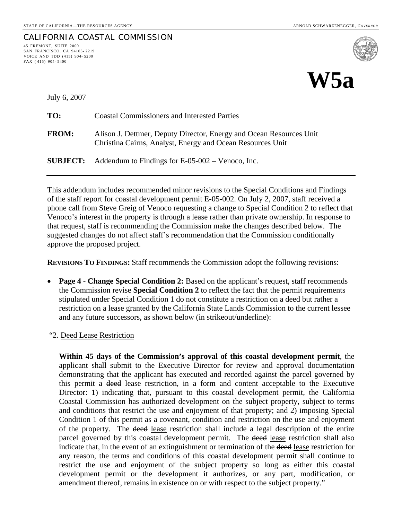CALIFORNIA COASTAL COMMISSION



July 6, 2007

45 FREMONT, SUITE 2000 SAN FRANCISCO, CA 94105- 2219 VOICE AND TDD (415) 904- 5200

FAX ( 415) 904- 5400

| TO:          | <b>Coastal Commissioners and Interested Parties</b>                                                                               |
|--------------|-----------------------------------------------------------------------------------------------------------------------------------|
| <b>FROM:</b> | Alison J. Dettmer, Deputy Director, Energy and Ocean Resources Unit<br>Christina Cairns, Analyst, Energy and Ocean Resources Unit |
|              | <b>SUBJECT:</b> Addendum to Findings for $E$ -05-002 – Venoco, Inc.                                                               |

This addendum includes recommended minor revisions to the Special Conditions and Findings of the staff report for coastal development permit E-05-002. On July 2, 2007, staff received a phone call from Steve Greig of Venoco requesting a change to Special Condition 2 to reflect that Venoco's interest in the property is through a lease rather than private ownership. In response to that request, staff is recommending the Commission make the changes described below. The suggested changes do not affect staff's recommendation that the Commission conditionally approve the proposed project.

**REVISIONS TO FINDINGS:** Staff recommends the Commission adopt the following revisions:

- **Page 4 Change Special Condition 2:** Based on the applicant's request, staff recommends the Commission revise **Special Condition 2** to reflect the fact that the permit requirements stipulated under Special Condition 1 do not constitute a restriction on a deed but rather a restriction on a lease granted by the California State Lands Commission to the current lessee and any future successors, as shown below (in strikeout/underline):
- "2. Deed Lease Restriction

**Within 45 days of the Commission's approval of this coastal development permit**, the applicant shall submit to the Executive Director for review and approval documentation demonstrating that the applicant has executed and recorded against the parcel governed by this permit a deed lease restriction, in a form and content acceptable to the Executive Director: 1) indicating that, pursuant to this coastal development permit, the California Coastal Commission has authorized development on the subject property, subject to terms and conditions that restrict the use and enjoyment of that property; and 2) imposing Special Condition 1 of this permit as a covenant, condition and restriction on the use and enjoyment of the property. The deed lease restriction shall include a legal description of the entire parcel governed by this coastal development permit. The deed lease restriction shall also indicate that, in the event of an extinguishment or termination of the deed lease restriction for any reason, the terms and conditions of this coastal development permit shall continue to restrict the use and enjoyment of the subject property so long as either this coastal development permit or the development it authorizes, or any part, modification, or amendment thereof, remains in existence on or with respect to the subject property."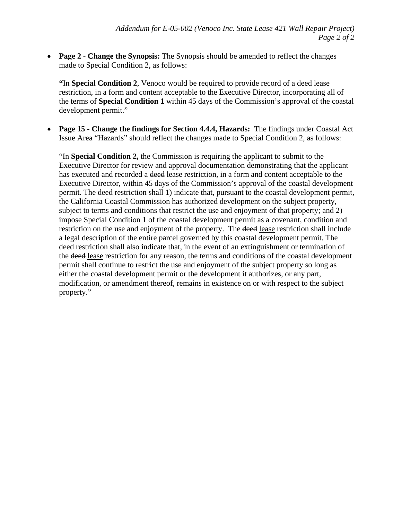• **Page 2 - Change the Synopsis:** The Synopsis should be amended to reflect the changes made to Special Condition 2, as follows:

**"**In **Special Condition 2**, Venoco would be required to provide record of a deed lease restriction, in a form and content acceptable to the Executive Director, incorporating all of the terms of **Special Condition 1** within 45 days of the Commission's approval of the coastal development permit."

• **Page 15 - Change the findings for Section 4.4.4, Hazards:** The findings under Coastal Act Issue Area "Hazards" should reflect the changes made to Special Condition 2, as follows:

"In **Special Condition 2,** the Commission is requiring the applicant to submit to the Executive Director for review and approval documentation demonstrating that the applicant has executed and recorded a <del>deed</del> lease restriction, in a form and content acceptable to the Executive Director, within 45 days of the Commission's approval of the coastal development permit. The deed restriction shall 1) indicate that, pursuant to the coastal development permit, the California Coastal Commission has authorized development on the subject property, subject to terms and conditions that restrict the use and enjoyment of that property; and 2) impose Special Condition 1 of the coastal development permit as a covenant, condition and restriction on the use and enjoyment of the property. The deed lease restriction shall include a legal description of the entire parcel governed by this coastal development permit. The deed restriction shall also indicate that, in the event of an extinguishment or termination of the deed lease restriction for any reason, the terms and conditions of the coastal development permit shall continue to restrict the use and enjoyment of the subject property so long as either the coastal development permit or the development it authorizes, or any part, modification, or amendment thereof, remains in existence on or with respect to the subject property."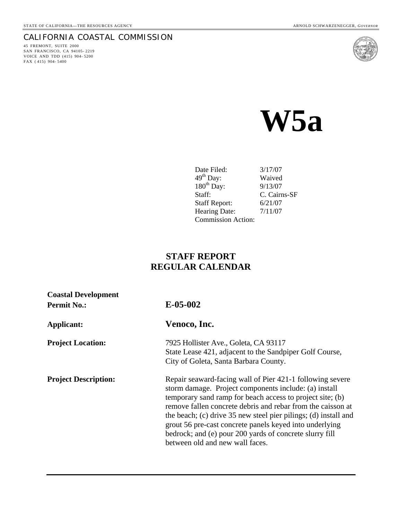## CALIFORNIA COASTAL COMMISSION

45 FREMONT, SUITE 2000 SAN FRANCISCO, CA 94105- 2219 VOICE AND TDD (415) 904- 5200 FAX (415) 904-5400



 **W5a** 

| Date Filed:               | 3/17/07      |
|---------------------------|--------------|
| $49^{\text{th}}$ Day:     | Waived       |
| $180th$ Day:              | 9/13/07      |
| Staff:                    | C. Cairns-SF |
| <b>Staff Report:</b>      | 6/21/07      |
| <b>Hearing Date:</b>      | 7/11/07      |
| <b>Commission Action:</b> |              |

# **STAFF REPORT REGULAR CALENDAR**

| <b>Coastal Development</b><br><b>Permit No.:</b> | $E-05-002$                                                                                                                                                                                                                                                                                                                                                                                                                                                                 |
|--------------------------------------------------|----------------------------------------------------------------------------------------------------------------------------------------------------------------------------------------------------------------------------------------------------------------------------------------------------------------------------------------------------------------------------------------------------------------------------------------------------------------------------|
| Applicant:                                       | Venoco, Inc.                                                                                                                                                                                                                                                                                                                                                                                                                                                               |
| <b>Project Location:</b>                         | 7925 Hollister Ave., Goleta, CA 93117<br>State Lease 421, adjacent to the Sandpiper Golf Course,<br>City of Goleta, Santa Barbara County.                                                                                                                                                                                                                                                                                                                                  |
| <b>Project Description:</b>                      | Repair seaward-facing wall of Pier 421-1 following severe<br>storm damage. Project components include: (a) install<br>temporary sand ramp for beach access to project site; (b)<br>remove fallen concrete debris and rebar from the caisson at<br>the beach; (c) drive 35 new steel pier pilings; (d) install and<br>grout 56 pre-cast concrete panels keyed into underlying<br>bedrock; and (e) pour 200 yards of concrete slurry fill<br>between old and new wall faces. |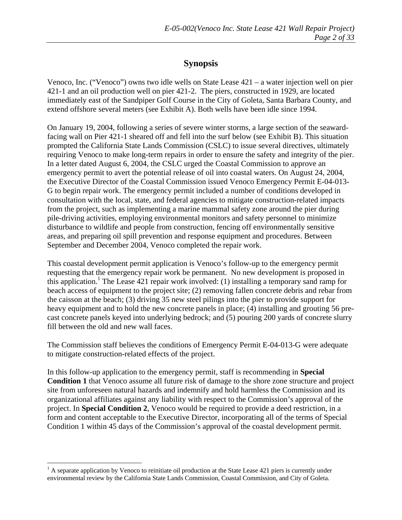# **Synopsis**

Venoco, Inc. ("Venoco") owns two idle wells on State Lease 421 – a water injection well on pier 421-1 and an oil production well on pier 421-2. The piers, constructed in 1929, are located immediately east of the Sandpiper Golf Course in the City of Goleta, Santa Barbara County, and extend offshore several meters (see Exhibit A). Both wells have been idle since 1994.

On January 19, 2004, following a series of severe winter storms, a large section of the seawardfacing wall on Pier 421-1 sheared off and fell into the surf below (see Exhibit B). This situation prompted the California State Lands Commission (CSLC) to issue several directives, ultimately requiring Venoco to make long-term repairs in order to ensure the safety and integrity of the pier. In a letter dated August 6, 2004, the CSLC urged the Coastal Commission to approve an emergency permit to avert the potential release of oil into coastal waters. On August 24, 2004, the Executive Director of the Coastal Commission issued Venoco Emergency Permit E-04-013- G to begin repair work. The emergency permit included a number of conditions developed in consultation with the local, state, and federal agencies to mitigate construction-related impacts from the project, such as implementing a marine mammal safety zone around the pier during pile-driving activities, employing environmental monitors and safety personnel to minimize disturbance to wildlife and people from construction, fencing off environmentally sensitive areas, and preparing oil spill prevention and response equipment and procedures. Between September and December 2004, Venoco completed the repair work.

This coastal development permit application is Venoco's follow-up to the emergency permit requesting that the emergency repair work be permanent. No new development is proposed in this application.<sup>[1](#page-6-0)</sup> The Lease 421 repair work involved: (1) installing a temporary sand ramp for beach access of equipment to the project site; (2) removing fallen concrete debris and rebar from the caisson at the beach; (3) driving 35 new steel pilings into the pier to provide support for heavy equipment and to hold the new concrete panels in place; (4) installing and grouting 56 precast concrete panels keyed into underlying bedrock; and (5) pouring 200 yards of concrete slurry fill between the old and new wall faces.

The Commission staff believes the conditions of Emergency Permit E-04-013-G were adequate to mitigate construction-related effects of the project.

In this follow-up application to the emergency permit, staff is recommending in **Special Condition 1** that Venoco assume all future risk of damage to the shore zone structure and project site from unforeseen natural hazards and indemnify and hold harmless the Commission and its organizational affiliates against any liability with respect to the Commission's approval of the project. In **Special Condition 2**, Venoco would be required to provide a deed restriction, in a form and content acceptable to the Executive Director, incorporating all of the terms of Special Condition 1 within 45 days of the Commission's approval of the coastal development permit.

 $\overline{a}$ 

<span id="page-6-0"></span> $<sup>1</sup>$  A separate application by Venoco to reinitiate oil production at the State Lease 421 piers is currently under</sup> environmental review by the California State Lands Commission, Coastal Commission, and City of Goleta.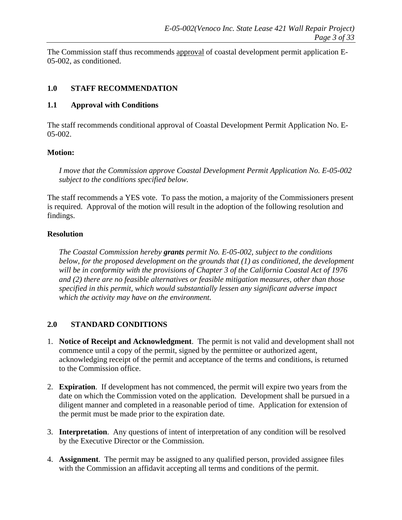The Commission staff thus recommends approval of coastal development permit application E-05-002, as conditioned.

#### **1.0 STAFF RECOMMENDATION**

#### **1.1 Approval with Conditions**

The staff recommends conditional approval of Coastal Development Permit Application No. E-05-002.

#### **Motion:**

*I move that the Commission approve Coastal Development Permit Application No. E-05-002 subject to the conditions specified below.*

The staff recommends a YES vote. To pass the motion, a majority of the Commissioners present is required. Approval of the motion will result in the adoption of the following resolution and findings.

#### **Resolution**

*The Coastal Commission hereby grants permit No. E-05-002, subject to the conditions below, for the proposed development on the grounds that (1) as conditioned, the development will be in conformity with the provisions of Chapter 3 of the California Coastal Act of 1976 and (2) there are no feasible alternatives or feasible mitigation measures, other than those specified in this permit, which would substantially lessen any significant adverse impact which the activity may have on the environment.* 

## **2.0 STANDARD CONDITIONS**

- 1. **Notice of Receipt and Acknowledgment**. The permit is not valid and development shall not commence until a copy of the permit, signed by the permittee or authorized agent, acknowledging receipt of the permit and acceptance of the terms and conditions, is returned to the Commission office.
- 2. **Expiration**. If development has not commenced, the permit will expire two years from the date on which the Commission voted on the application. Development shall be pursued in a diligent manner and completed in a reasonable period of time. Application for extension of the permit must be made prior to the expiration date*.*
- 3. **Interpretation**. Any questions of intent of interpretation of any condition will be resolved by the Executive Director or the Commission.
- 4. **Assignment**. The permit may be assigned to any qualified person, provided assignee files with the Commission an affidavit accepting all terms and conditions of the permit.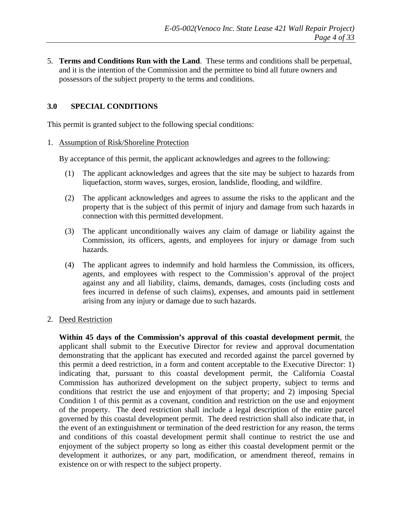5. **Terms and Conditions Run with the Land**. These terms and conditions shall be perpetual, and it is the intention of the Commission and the permittee to bind all future owners and possessors of the subject property to the terms and conditions.

#### **3.0 SPECIAL CONDITIONS**

This permit is granted subject to the following special conditions:

#### 1. Assumption of Risk/Shoreline Protection

By acceptance of this permit, the applicant acknowledges and agrees to the following:

- (1) The applicant acknowledges and agrees that the site may be subject to hazards from liquefaction, storm waves, surges, erosion, landslide, flooding, and wildfire.
- (2) The applicant acknowledges and agrees to assume the risks to the applicant and the property that is the subject of this permit of injury and damage from such hazards in connection with this permitted development.
- (3) The applicant unconditionally waives any claim of damage or liability against the Commission, its officers, agents, and employees for injury or damage from such hazards.
- (4) The applicant agrees to indemnify and hold harmless the Commission, its officers, agents, and employees with respect to the Commission's approval of the project against any and all liability, claims, demands, damages, costs (including costs and fees incurred in defense of such claims), expenses, and amounts paid in settlement arising from any injury or damage due to such hazards.
- 2. Deed Restriction

**Within 45 days of the Commission's approval of this coastal development permit**, the applicant shall submit to the Executive Director for review and approval documentation demonstrating that the applicant has executed and recorded against the parcel governed by this permit a deed restriction, in a form and content acceptable to the Executive Director: 1) indicating that, pursuant to this coastal development permit, the California Coastal Commission has authorized development on the subject property, subject to terms and conditions that restrict the use and enjoyment of that property; and 2) imposing Special Condition 1 of this permit as a covenant, condition and restriction on the use and enjoyment of the property. The deed restriction shall include a legal description of the entire parcel governed by this coastal development permit. The deed restriction shall also indicate that, in the event of an extinguishment or termination of the deed restriction for any reason, the terms and conditions of this coastal development permit shall continue to restrict the use and enjoyment of the subject property so long as either this coastal development permit or the development it authorizes, or any part, modification, or amendment thereof, remains in existence on or with respect to the subject property.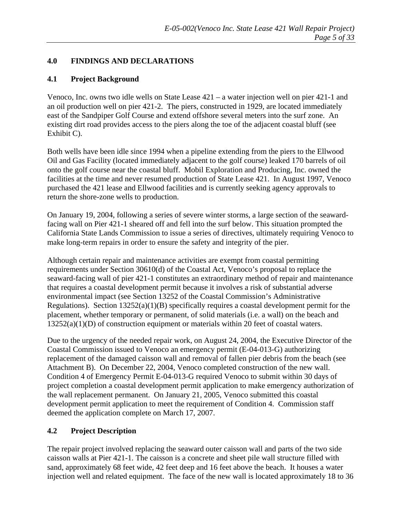#### **4.0 FINDINGS AND DECLARATIONS**

#### **4.1 Project Background**

Venoco, Inc. owns two idle wells on State Lease 421 – a water injection well on pier 421-1 and an oil production well on pier 421-2. The piers, constructed in 1929, are located immediately east of the Sandpiper Golf Course and extend offshore several meters into the surf zone. An existing dirt road provides access to the piers along the toe of the adjacent coastal bluff (see Exhibit C).

Both wells have been idle since 1994 when a pipeline extending from the piers to the Ellwood Oil and Gas Facility (located immediately adjacent to the golf course) leaked 170 barrels of oil onto the golf course near the coastal bluff. Mobil Exploration and Producing, Inc. owned the facilities at the time and never resumed production of State Lease 421. In August 1997, Venoco purchased the 421 lease and Ellwood facilities and is currently seeking agency approvals to return the shore-zone wells to production.

On January 19, 2004, following a series of severe winter storms, a large section of the seawardfacing wall on Pier 421-1 sheared off and fell into the surf below. This situation prompted the California State Lands Commission to issue a series of directives, ultimately requiring Venoco to make long-term repairs in order to ensure the safety and integrity of the pier.

Although certain repair and maintenance activities are exempt from coastal permitting requirements under Section 30610(d) of the Coastal Act, Venoco's proposal to replace the seaward-facing wall of pier 421-1 constitutes an extraordinary method of repair and maintenance that requires a coastal development permit because it involves a risk of substantial adverse environmental impact (see Section 13252 of the Coastal Commission's Administrative Regulations). Section 13252(a)(1)(B) specifically requires a coastal development permit for the placement, whether temporary or permanent, of solid materials (i.e. a wall) on the beach and 13252(a)(1)(D) of construction equipment or materials within 20 feet of coastal waters.

Due to the urgency of the needed repair work, on August 24, 2004, the Executive Director of the Coastal Commission issued to Venoco an emergency permit (E-04-013-G) authorizing replacement of the damaged caisson wall and removal of fallen pier debris from the beach (see Attachment B). On December 22, 2004, Venoco completed construction of the new wall. Condition 4 of Emergency Permit E-04-013-G required Venoco to submit within 30 days of project completion a coastal development permit application to make emergency authorization of the wall replacement permanent. On January 21, 2005, Venoco submitted this coastal development permit application to meet the requirement of Condition 4. Commission staff deemed the application complete on March 17, 2007.

## **4.2 Project Description**

The repair project involved replacing the seaward outer caisson wall and parts of the two side caisson walls at Pier 421-1. The caisson is a concrete and sheet pile wall structure filled with sand, approximately 68 feet wide, 42 feet deep and 16 feet above the beach. It houses a water injection well and related equipment. The face of the new wall is located approximately 18 to 36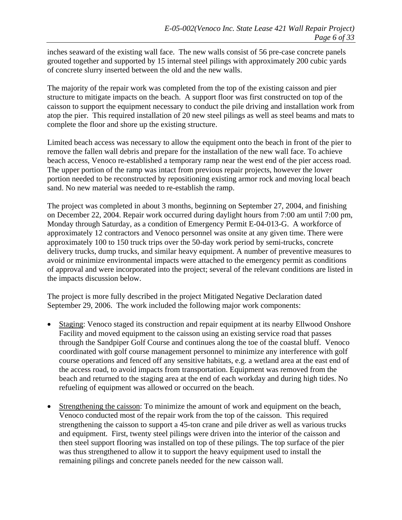inches seaward of the existing wall face. The new walls consist of 56 pre-case concrete panels grouted together and supported by 15 internal steel pilings with approximately 200 cubic yards of concrete slurry inserted between the old and the new walls.

The majority of the repair work was completed from the top of the existing caisson and pier structure to mitigate impacts on the beach. A support floor was first constructed on top of the caisson to support the equipment necessary to conduct the pile driving and installation work from atop the pier. This required installation of 20 new steel pilings as well as steel beams and mats to complete the floor and shore up the existing structure.

Limited beach access was necessary to allow the equipment onto the beach in front of the pier to remove the fallen wall debris and prepare for the installation of the new wall face. To achieve beach access, Venoco re-established a temporary ramp near the west end of the pier access road. The upper portion of the ramp was intact from previous repair projects, however the lower portion needed to be reconstructed by repositioning existing armor rock and moving local beach sand. No new material was needed to re-establish the ramp.

The project was completed in about 3 months, beginning on September 27, 2004, and finishing on December 22, 2004. Repair work occurred during daylight hours from 7:00 am until 7:00 pm, Monday through Saturday, as a condition of Emergency Permit E-04-013-G. A workforce of approximately 12 contractors and Venoco personnel was onsite at any given time. There were approximately 100 to 150 truck trips over the 50-day work period by semi-trucks, concrete delivery trucks, dump trucks, and similar heavy equipment. A number of preventive measures to avoid or minimize environmental impacts were attached to the emergency permit as conditions of approval and were incorporated into the project; several of the relevant conditions are listed in the impacts discussion below.

The project is more fully described in the project Mitigated Negative Declaration dated September 29, 2006. The work included the following major work components:

- Staging: Venoco staged its construction and repair equipment at its nearby Ellwood Onshore Facility and moved equipment to the caisson using an existing service road that passes through the Sandpiper Golf Course and continues along the toe of the coastal bluff. Venoco coordinated with golf course management personnel to minimize any interference with golf course operations and fenced off any sensitive habitats, e.g. a wetland area at the east end of the access road, to avoid impacts from transportation. Equipment was removed from the beach and returned to the staging area at the end of each workday and during high tides. No refueling of equipment was allowed or occurred on the beach.
- Strengthening the caisson: To minimize the amount of work and equipment on the beach, Venoco conducted most of the repair work from the top of the caisson. This required strengthening the caisson to support a 45-ton crane and pile driver as well as various trucks and equipment. First, twenty steel pilings were driven into the interior of the caisson and then steel support flooring was installed on top of these pilings. The top surface of the pier was thus strengthened to allow it to support the heavy equipment used to install the remaining pilings and concrete panels needed for the new caisson wall.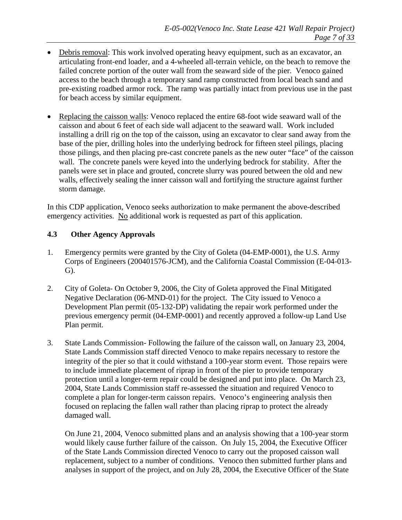- Debris removal: This work involved operating heavy equipment, such as an excavator, an articulating front-end loader, and a 4-wheeled all-terrain vehicle, on the beach to remove the failed concrete portion of the outer wall from the seaward side of the pier. Venoco gained access to the beach through a temporary sand ramp constructed from local beach sand and pre-existing roadbed armor rock. The ramp was partially intact from previous use in the past for beach access by similar equipment.
- Replacing the caisson walls: Venoco replaced the entire 68-foot wide seaward wall of the caisson and about 6 feet of each side wall adjacent to the seaward wall. Work included installing a drill rig on the top of the caisson, using an excavator to clear sand away from the base of the pier, drilling holes into the underlying bedrock for fifteen steel pilings, placing those pilings, and then placing pre-cast concrete panels as the new outer "face" of the caisson wall. The concrete panels were keyed into the underlying bedrock for stability. After the panels were set in place and grouted, concrete slurry was poured between the old and new walls, effectively sealing the inner caisson wall and fortifying the structure against further storm damage.

In this CDP application, Venoco seeks authorization to make permanent the above-described emergency activities. No additional work is requested as part of this application.

#### **4.3 Other Agency Approvals**

- 1. Emergency permits were granted by the City of Goleta (04-EMP-0001), the U.S. Army Corps of Engineers (200401576-JCM), and the California Coastal Commission (E-04-013- G).
- 2. City of Goleta- On October 9, 2006, the City of Goleta approved the Final Mitigated Negative Declaration (06-MND-01) for the project. The City issued to Venoco a Development Plan permit (05-132-DP) validating the repair work performed under the previous emergency permit (04-EMP-0001) and recently approved a follow-up Land Use Plan permit.
- 3. State Lands Commission- Following the failure of the caisson wall, on January 23, 2004, State Lands Commission staff directed Venoco to make repairs necessary to restore the integrity of the pier so that it could withstand a 100-year storm event. Those repairs were to include immediate placement of riprap in front of the pier to provide temporary protection until a longer-term repair could be designed and put into place. On March 23, 2004, State Lands Commission staff re-assessed the situation and required Venoco to complete a plan for longer-term caisson repairs. Venoco's engineering analysis then focused on replacing the fallen wall rather than placing riprap to protect the already damaged wall.

On June 21, 2004, Venoco submitted plans and an analysis showing that a 100-year storm would likely cause further failure of the caisson. On July 15, 2004, the Executive Officer of the State Lands Commission directed Venoco to carry out the proposed caisson wall replacement, subject to a number of conditions. Venoco then submitted further plans and analyses in support of the project, and on July 28, 2004, the Executive Officer of the State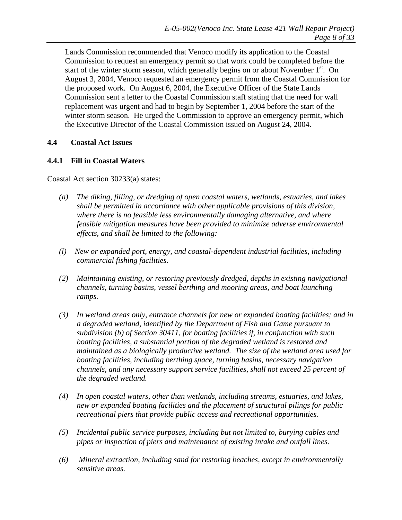Lands Commission recommended that Venoco modify its application to the Coastal Commission to request an emergency permit so that work could be completed before the start of the winter storm season, which generally begins on or about November  $1<sup>st</sup>$ . On August 3, 2004, Venoco requested an emergency permit from the Coastal Commission for the proposed work. On August 6, 2004, the Executive Officer of the State Lands Commission sent a letter to the Coastal Commission staff stating that the need for wall replacement was urgent and had to begin by September 1, 2004 before the start of the winter storm season. He urged the Commission to approve an emergency permit, which the Executive Director of the Coastal Commission issued on August 24, 2004.

#### **4.4 Coastal Act Issues**

#### **4.4.1 Fill in Coastal Waters**

Coastal Act section 30233(a) states:

- *(a) The diking, filling, or dredging of open coastal waters, wetlands, estuaries, and lakes shall be permitted in accordance with other applicable provisions of this division, where there is no feasible less environmentally damaging alternative, and where feasible mitigation measures have been provided to minimize adverse environmental effects, and shall be limited to the following:*
- *(l) New or expanded port, energy, and coastal-dependent industrial facilities, including commercial fishing facilities.*
- *(2) Maintaining existing, or restoring previously dredged, depths in existing navigational channels, turning basins, vessel berthing and mooring areas, and boat launching ramps.*
- *(3) In wetland areas only, entrance channels for new or expanded boating facilities; and in a degraded wetland, identified by the Department of Fish and Game pursuant to subdivision (b) of Section 30411, for boating facilities if, in conjunction with such boating facilities, a substantial portion of the degraded wetland is restored and maintained as a biologically productive wetland. The size of the wetland area used for boating facilities, including berthing space, turning basins, necessary navigation channels, and any necessary support service facilities, shall not exceed 25 percent of the degraded wetland.*
- *(4) In open coastal waters, other than wetlands, including streams, estuaries, and lakes, new or expanded boating facilities and the placement of structural pilings for public recreational piers that provide public access and recreational opportunities.*
- *(5) Incidental public service purposes, including but not limited to, burying cables and pipes or inspection of piers and maintenance of existing intake and outfall lines.*
- *(6) Mineral extraction, including sand for restoring beaches, except in environmentally sensitive areas.*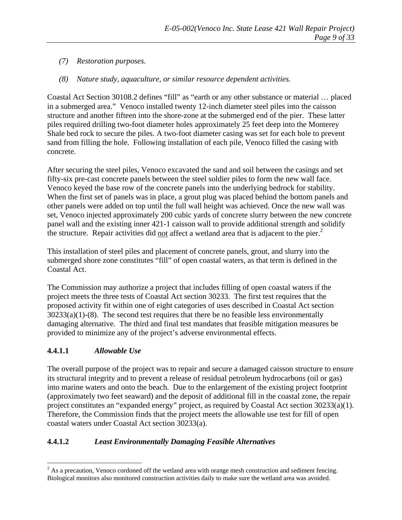## *(7) Restoration purposes.*

#### *(8) Nature study, aquaculture, or similar resource dependent activities.*

Coastal Act Section 30108.2 defines "fill" as "earth or any other substance or material … placed in a submerged area." Venoco installed twenty 12-inch diameter steel piles into the caisson structure and another fifteen into the shore-zone at the submerged end of the pier. These latter piles required drilling two-foot diameter holes approximately 25 feet deep into the Monterey Shale bed rock to secure the piles. A two-foot diameter casing was set for each hole to prevent sand from filling the hole. Following installation of each pile, Venoco filled the casing with concrete.

After securing the steel piles, Venoco excavated the sand and soil between the casings and set fifty-six pre-cast concrete panels between the steel soldier piles to form the new wall face. Venoco keyed the base row of the concrete panels into the underlying bedrock for stability. When the first set of panels was in place, a grout plug was placed behind the bottom panels and other panels were added on top until the full wall height was achieved. Once the new wall was set, Venoco injected approximately 200 cubic yards of concrete slurry between the new concrete panel wall and the existing inner 421-1 caisson wall to provide additional strength and solidify the structure. Repair activities did not affect a wetland area that is adjacent to the pier.<sup>[2](#page-13-0)</sup>

This installation of steel piles and placement of concrete panels, grout, and slurry into the submerged shore zone constitutes "fill" of open coastal waters, as that term is defined in the Coastal Act.

The Commission may authorize a project that includes filling of open coastal waters if the project meets the three tests of Coastal Act section 30233. The first test requires that the proposed activity fit within one of eight categories of uses described in Coastal Act section  $30233(a)(1)-(8)$ . The second test requires that there be no feasible less environmentally damaging alternative. The third and final test mandates that feasible mitigation measures be provided to minimize any of the project's adverse environmental effects.

## **4.4.1.1** *Allowable Use*

The overall purpose of the project was to repair and secure a damaged caisson structure to ensure its structural integrity and to prevent a release of residual petroleum hydrocarbons (oil or gas) into marine waters and onto the beach. Due to the enlargement of the existing project footprint (approximately two feet seaward) and the deposit of additional fill in the coastal zone, the repair project constitutes an "expanded energy" project, as required by Coastal Act section 30233(a)(1). Therefore, the Commission finds that the project meets the allowable use test for fill of open coastal waters under Coastal Act section 30233(a).

## **4.4.1.2** *Least Environmentally Damaging Feasible Alternatives*

<span id="page-13-0"></span><sup>&</sup>lt;sup>2</sup> As a precaution, Venoco cordoned off the wetland area with orange mesh construction and sediment fencing. Biological monitors also monitored construction activities daily to make sure the wetland area was avoided.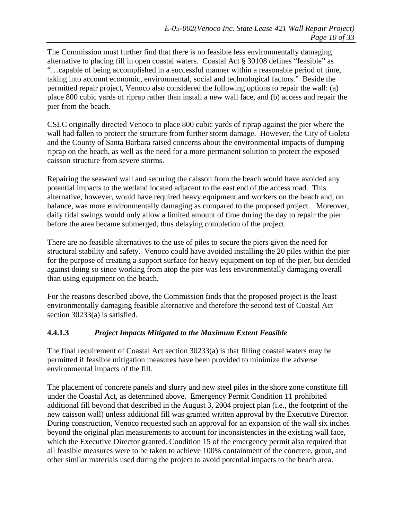The Commission must further find that there is no feasible less environmentally damaging alternative to placing fill in open coastal waters. Coastal Act § 30108 defines "feasible" as "…capable of being accomplished in a successful manner within a reasonable period of time, taking into account economic, environmental, social and technological factors." Beside the permitted repair project, Venoco also considered the following options to repair the wall: (a) place 800 cubic yards of riprap rather than install a new wall face, and (b) access and repair the pier from the beach.

CSLC originally directed Venoco to place 800 cubic yards of riprap against the pier where the wall had fallen to protect the structure from further storm damage. However, the City of Goleta and the County of Santa Barbara raised concerns about the environmental impacts of dumping riprap on the beach, as well as the need for a more permanent solution to protect the exposed caisson structure from severe storms.

Repairing the seaward wall and securing the caisson from the beach would have avoided any potential impacts to the wetland located adjacent to the east end of the access road. This alternative, however, would have required heavy equipment and workers on the beach and, on balance, was more environmentally damaging as compared to the proposed project. Moreover, daily tidal swings would only allow a limited amount of time during the day to repair the pier before the area became submerged, thus delaying completion of the project.

There are no feasible alternatives to the use of piles to secure the piers given the need for structural stability and safety. Venoco could have avoided installing the 20 piles within the pier for the purpose of creating a support surface for heavy equipment on top of the pier, but decided against doing so since working from atop the pier was less environmentally damaging overall than using equipment on the beach.

For the reasons described above, the Commission finds that the proposed project is the least environmentally damaging feasible alternative and therefore the second test of Coastal Act section 30233(a) is satisfied.

## **4.4.1.3** *Project Impacts Mitigated to the Maximum Extent Feasible*

The final requirement of Coastal Act section 30233(a) is that filling coastal waters may be permitted if feasible mitigation measures have been provided to minimize the adverse environmental impacts of the fill.

The placement of concrete panels and slurry and new steel piles in the shore zone constitute fill under the Coastal Act, as determined above. Emergency Permit Condition 11 prohibited additional fill beyond that described in the August 3, 2004 project plan (i.e., the footprint of the new caisson wall) unless additional fill was granted written approval by the Executive Director. During construction, Venoco requested such an approval for an expansion of the wall six inches beyond the original plan measurements to account for inconsistencies in the existing wall face, which the Executive Director granted. Condition 15 of the emergency permit also required that all feasible measures were to be taken to achieve 100% containment of the concrete, grout, and other similar materials used during the project to avoid potential impacts to the beach area.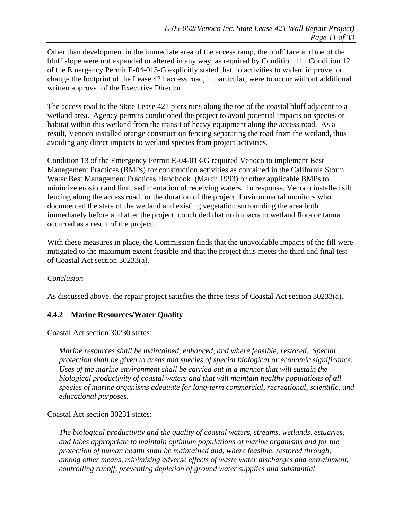Other than development in the immediate area of the access ramp, the bluff face and toe of the bluff slope were not expanded or altered in any way, as required by Condition 11. Condition 12 of the Emergency Permit E-04-013-G explicitly stated that no activities to widen, improve, or change the footprint of the Lease 421 access road, in particular, were to occur without additional written approval of the Executive Director.

The access road to the State Lease 421 piers runs along the toe of the coastal bluff adjacent to a wetland area. Agency permits conditioned the project to avoid potential impacts on species or habitat within this wetland from the transit of heavy equipment along the access road. As a result, Venoco installed orange construction fencing separating the road from the wetland, thus avoiding any direct impacts to wetland species from project activities.

Condition 13 of the Emergency Permit E-04-013-G required Venoco to implement Best Management Practices (BMPs) for construction activities as contained in the California Storm Water Best Management Practices Handbook (March 1993) or other applicable BMPs to minimize erosion and limit sedimentation of receiving waters. In response, Venoco installed silt fencing along the access road for the duration of the project. Environmental monitors who documented the state of the wetland and existing vegetation surrounding the area both immediately before and after the project, concluded that no impacts to wetland flora or fauna occurred as a result of the project.

With these measures in place, the Commission finds that the unavoidable impacts of the fill were mitigated to the maximum extent feasible and that the project thus meets the third and final test of Coastal Act section 30233(a).

#### *Conclusion*

As discussed above, the repair project satisfies the three tests of Coastal Act section 30233(a).

## **4.4.2 Marine Resources/Water Quality**

Coastal Act section 30230 states:

*Marine resources shall be maintained, enhanced, and where feasible, restored. Special protection shall be given to areas and species of special biological or economic significance. Uses of the marine environment shall be carried out in a manner that will sustain the biological productivity of coastal waters and that will maintain healthy populations of all species of marine organisms adequate for long-term commercial, recreational, scientific, and educational purposes.*

#### Coastal Act section 30231 states:

*The biological productivity and the quality of coastal waters, streams, wetlands, estuaries, and lakes appropriate to maintain optimum populations of marine organisms and for the protection of human health shall be maintained and, where feasible, restored through, among other means, minimizing adverse effects of waste water discharges and entrainment, controlling runoff, preventing depletion of ground water supplies and substantial*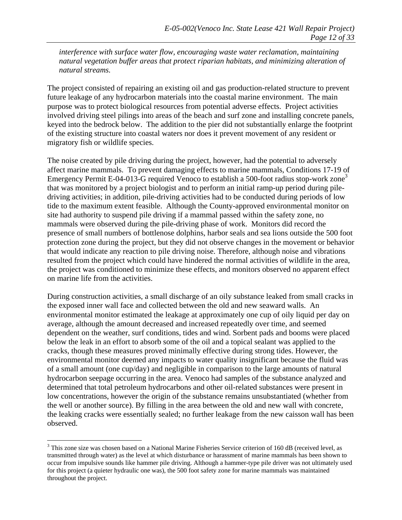*interference with surface water flow, encouraging waste water reclamation, maintaining natural vegetation buffer areas that protect riparian habitats, and minimizing alteration of natural streams.*

The project consisted of repairing an existing oil and gas production-related structure to prevent future leakage of any hydrocarbon materials into the coastal marine environment. The main purpose was to protect biological resources from potential adverse effects. Project activities involved driving steel pilings into areas of the beach and surf zone and installing concrete panels, keyed into the bedrock below. The addition to the pier did not substantially enlarge the footprint of the existing structure into coastal waters nor does it prevent movement of any resident or migratory fish or wildlife species.

The noise created by pile driving during the project, however, had the potential to adversely affect marine mammals. To prevent damaging effects to marine mammals, Conditions 17-19 of Emergency Permit E-04-01[3](#page-16-0)-G required Venoco to establish a 500-foot radius stop-work zone<sup>3</sup> that was monitored by a project biologist and to perform an initial ramp-up period during piledriving activities; in addition, pile-driving activities had to be conducted during periods of low tide to the maximum extent feasible. Although the County-approved environmental monitor on site had authority to suspend pile driving if a mammal passed within the safety zone, no mammals were observed during the pile-driving phase of work. Monitors did record the presence of small numbers of bottlenose dolphins, harbor seals and sea lions outside the 500 foot protection zone during the project, but they did not observe changes in the movement or behavior that would indicate any reaction to pile driving noise. Therefore, although noise and vibrations resulted from the project which could have hindered the normal activities of wildlife in the area, the project was conditioned to minimize these effects, and monitors observed no apparent effect on marine life from the activities.

During construction activities, a small discharge of an oily substance leaked from small cracks in the exposed inner wall face and collected between the old and new seaward walls. An environmental monitor estimated the leakage at approximately one cup of oily liquid per day on average, although the amount decreased and increased repeatedly over time, and seemed dependent on the weather, surf conditions, tides and wind. Sorbent pads and booms were placed below the leak in an effort to absorb some of the oil and a topical sealant was applied to the cracks, though these measures proved minimally effective during strong tides. However, the environmental monitor deemed any impacts to water quality insignificant because the fluid was of a small amount (one cup/day) and negligible in comparison to the large amounts of natural hydrocarbon seepage occurring in the area. Venoco had samples of the substance analyzed and determined that total petroleum hydrocarbons and other oil-related substances were present in low concentrations, however the origin of the substance remains unsubstantiated (whether from the well or another source). By filling in the area between the old and new wall with concrete, the leaking cracks were essentially sealed; no further leakage from the new caisson wall has been observed.

 $\overline{a}$ 

<span id="page-16-0"></span> $3$  This zone size was chosen based on a National Marine Fisheries Service criterion of 160 dB (received level, as transmitted through water) as the level at which disturbance or harassment of marine mammals has been shown to occur from impulsive sounds like hammer pile driving. Although a hammer-type pile driver was not ultimately used for this project (a quieter hydraulic one was), the 500 foot safety zone for marine mammals was maintained throughout the project.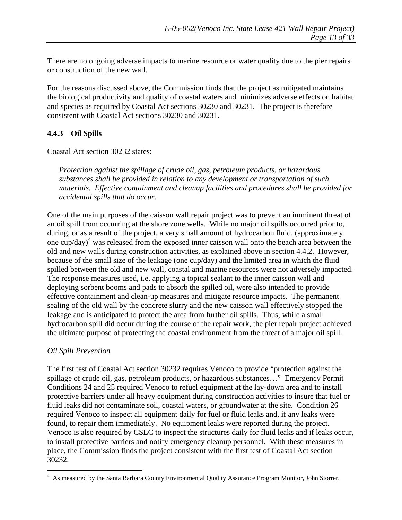There are no ongoing adverse impacts to marine resource or water quality due to the pier repairs or construction of the new wall.

For the reasons discussed above, the Commission finds that the project as mitigated maintains the biological productivity and quality of coastal waters and minimizes adverse effects on habitat and species as required by Coastal Act sections 30230 and 30231. The project is therefore consistent with Coastal Act sections 30230 and 30231.

## **4.4.3 Oil Spills**

Coastal Act section 30232 states:

*Protection against the spillage of crude oil, gas, petroleum products, or hazardous substances shall be provided in relation to any development or transportation of such materials. Effective containment and cleanup facilities and procedures shall be provided for accidental spills that do occur.* 

One of the main purposes of the caisson wall repair project was to prevent an imminent threat of an oil spill from occurring at the shore zone wells. While no major oil spills occurred prior to, during, or as a result of the project, a very small amount of hydrocarbon fluid, (approximately one cup/day)<sup>[4](#page-17-0)</sup> was released from the exposed inner caisson wall onto the beach area between the old and new walls during construction activities, as explained above in section 4.4.2. However, because of the small size of the leakage (one cup/day) and the limited area in which the fluid spilled between the old and new wall, coastal and marine resources were not adversely impacted. The response measures used, i.e. applying a topical sealant to the inner caisson wall and deploying sorbent booms and pads to absorb the spilled oil, were also intended to provide effective containment and clean-up measures and mitigate resource impacts. The permanent sealing of the old wall by the concrete slurry and the new caisson wall effectively stopped the leakage and is anticipated to protect the area from further oil spills. Thus, while a small hydrocarbon spill did occur during the course of the repair work, the pier repair project achieved the ultimate purpose of protecting the coastal environment from the threat of a major oil spill.

#### *Oil Spill Prevention*

1

The first test of Coastal Act section 30232 requires Venoco to provide "protection against the spillage of crude oil, gas, petroleum products, or hazardous substances…" Emergency Permit Conditions 24 and 25 required Venoco to refuel equipment at the lay-down area and to install protective barriers under all heavy equipment during construction activities to insure that fuel or fluid leaks did not contaminate soil, coastal waters, or groundwater at the site. Condition 26 required Venoco to inspect all equipment daily for fuel or fluid leaks and, if any leaks were found, to repair them immediately. No equipment leaks were reported during the project. Venoco is also required by CSLC to inspect the structures daily for fluid leaks and if leaks occur, to install protective barriers and notify emergency cleanup personnel. With these measures in place, the Commission finds the project consistent with the first test of Coastal Act section 30232.

<span id="page-17-0"></span><sup>&</sup>lt;sup>4</sup> As measured by the Santa Barbara County Environmental Quality Assurance Program Monitor, John Storrer.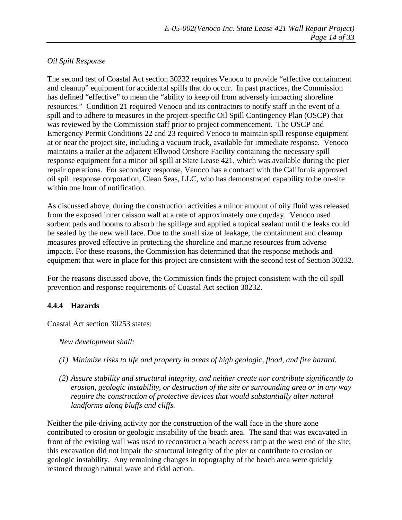#### *Oil Spill Response*

The second test of Coastal Act section 30232 requires Venoco to provide "effective containment and cleanup" equipment for accidental spills that do occur. In past practices, the Commission has defined "effective" to mean the "ability to keep oil from adversely impacting shoreline resources." Condition 21 required Venoco and its contractors to notify staff in the event of a spill and to adhere to measures in the project-specific Oil Spill Contingency Plan (OSCP) that was reviewed by the Commission staff prior to project commencement. The OSCP and Emergency Permit Conditions 22 and 23 required Venoco to maintain spill response equipment at or near the project site, including a vacuum truck, available for immediate response. Venoco maintains a trailer at the adjacent Ellwood Onshore Facility containing the necessary spill response equipment for a minor oil spill at State Lease 421, which was available during the pier repair operations. For secondary response, Venoco has a contract with the California approved oil spill response corporation, Clean Seas, LLC, who has demonstrated capability to be on-site within one hour of notification.

As discussed above, during the construction activities a minor amount of oily fluid was released from the exposed inner caisson wall at a rate of approximately one cup/day. Venoco used sorbent pads and booms to absorb the spillage and applied a topical sealant until the leaks could be sealed by the new wall face. Due to the small size of leakage, the containment and cleanup measures proved effective in protecting the shoreline and marine resources from adverse impacts. For these reasons, the Commission has determined that the response methods and equipment that were in place for this project are consistent with the second test of Section 30232.

For the reasons discussed above, the Commission finds the project consistent with the oil spill prevention and response requirements of Coastal Act section 30232.

## **4.4.4 Hazards**

Coastal Act section 30253 states:

*New development shall:* 

- *(1) Minimize risks to life and property in areas of high geologic, flood, and fire hazard.*
- *(2) Assure stability and structural integrity, and neither create nor contribute significantly to erosion, geologic instability, or destruction of the site or surrounding area or in any way require the construction of protective devices that would substantially alter natural landforms along bluffs and cliffs.*

Neither the pile-driving activity nor the construction of the wall face in the shore zone contributed to erosion or geologic instability of the beach area. The sand that was excavated in front of the existing wall was used to reconstruct a beach access ramp at the west end of the site; this excavation did not impair the structural integrity of the pier or contribute to erosion or geologic instability. Any remaining changes in topography of the beach area were quickly restored through natural wave and tidal action.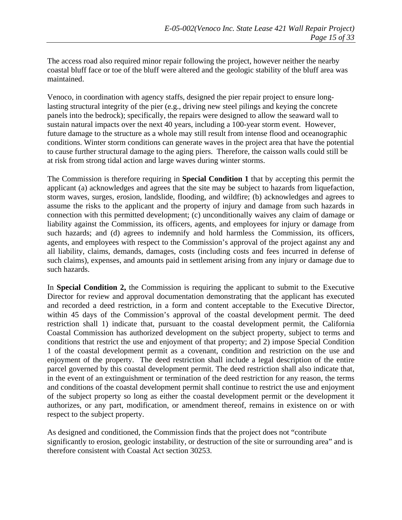The access road also required minor repair following the project, however neither the nearby coastal bluff face or toe of the bluff were altered and the geologic stability of the bluff area was maintained.

Venoco, in coordination with agency staffs, designed the pier repair project to ensure longlasting structural integrity of the pier (e.g., driving new steel pilings and keying the concrete panels into the bedrock); specifically, the repairs were designed to allow the seaward wall to sustain natural impacts over the next 40 years, including a 100-year storm event. However, future damage to the structure as a whole may still result from intense flood and oceanographic conditions. Winter storm conditions can generate waves in the project area that have the potential to cause further structural damage to the aging piers. Therefore, the caisson walls could still be at risk from strong tidal action and large waves during winter storms.

The Commission is therefore requiring in **Special Condition 1** that by accepting this permit the applicant (a) acknowledges and agrees that the site may be subject to hazards from liquefaction, storm waves, surges, erosion, landslide, flooding, and wildfire; (b) acknowledges and agrees to assume the risks to the applicant and the property of injury and damage from such hazards in connection with this permitted development; (c) unconditionally waives any claim of damage or liability against the Commission, its officers, agents, and employees for injury or damage from such hazards; and (d) agrees to indemnify and hold harmless the Commission, its officers, agents, and employees with respect to the Commission's approval of the project against any and all liability, claims, demands, damages, costs (including costs and fees incurred in defense of such claims), expenses, and amounts paid in settlement arising from any injury or damage due to such hazards.

In **Special Condition 2,** the Commission is requiring the applicant to submit to the Executive Director for review and approval documentation demonstrating that the applicant has executed and recorded a deed restriction, in a form and content acceptable to the Executive Director, within 45 days of the Commission's approval of the coastal development permit. The deed restriction shall 1) indicate that, pursuant to the coastal development permit, the California Coastal Commission has authorized development on the subject property, subject to terms and conditions that restrict the use and enjoyment of that property; and 2) impose Special Condition 1 of the coastal development permit as a covenant, condition and restriction on the use and enjoyment of the property. The deed restriction shall include a legal description of the entire parcel governed by this coastal development permit. The deed restriction shall also indicate that, in the event of an extinguishment or termination of the deed restriction for any reason, the terms and conditions of the coastal development permit shall continue to restrict the use and enjoyment of the subject property so long as either the coastal development permit or the development it authorizes, or any part, modification, or amendment thereof, remains in existence on or with respect to the subject property.

As designed and conditioned, the Commission finds that the project does not "contribute significantly to erosion, geologic instability, or destruction of the site or surrounding area" and is therefore consistent with Coastal Act section 30253.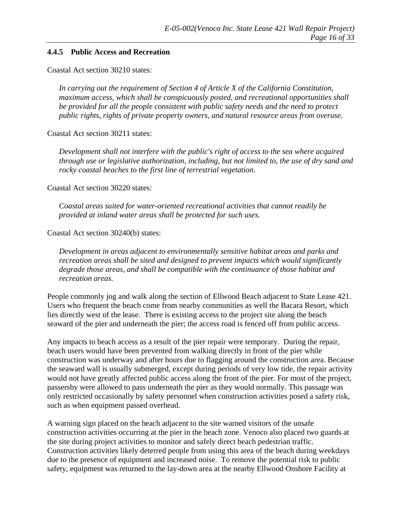#### **4.4.5 Public Access and Recreation**

Coastal Act section 30210 states:

*In carrying out the requirement of Section 4 of Article X of the California Constitution, maximum access, which shall be conspicuously posted, and recreational opportunities shall be provided for all the people consistent with public safety needs and the need to protect public rights, rights of private property owners, and natural resource areas from overuse.* 

Coastal Act section 30211 states:

*Development shall not interfere with the public's right of access to the sea where acquired through use or legislative authorization, including, but not limited to, the use of dry sand and rocky coastal beaches to the first line of terrestrial vegetation.* 

Coastal Act section 30220 states:

*Coastal areas suited for water-oriented recreational activities that cannot readily be provided at inland water areas shall be protected for such uses.* 

Coastal Act section 30240(b) states:

*Development in areas adjacent to environmentally sensitive habitat areas and parks and recreation areas shall be sited and designed to prevent impacts which would significantly degrade those areas, and shall be compatible with the continuance of those habitat and recreation areas.* 

People commonly jog and walk along the section of Ellwood Beach adjacent to State Lease 421. Users who frequent the beach come from nearby communities as well the Bacara Resort, which lies directly west of the lease. There is existing access to the project site along the beach seaward of the pier and underneath the pier; the access road is fenced off from public access.

Any impacts to beach access as a result of the pier repair were temporary. During the repair, beach users would have been prevented from walking directly in front of the pier while construction was underway and after hours due to flagging around the construction area. Because the seaward wall is usually submerged, except during periods of very low tide, the repair activity would not have greatly affected public access along the front of the pier. For most of the project, passersby were allowed to pass underneath the pier as they would normally. This passage was only restricted occasionally by safety personnel when construction activities posed a safety risk, such as when equipment passed overhead.

A warning sign placed on the beach adjacent to the site warned visitors of the unsafe construction activities occurring at the pier in the beach zone. Venoco also placed two guards at the site during project activities to monitor and safely direct beach pedestrian traffic. Construction activities likely deterred people from using this area of the beach during weekdays due to the presence of equipment and increased noise. To remove the potential risk to public safety, equipment was returned to the lay-down area at the nearby Ellwood Onshore Facility at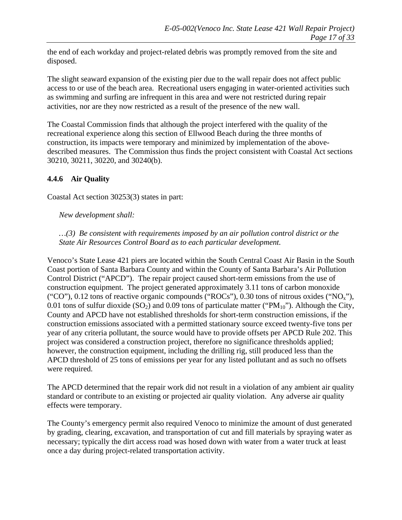the end of each workday and project-related debris was promptly removed from the site and disposed.

The slight seaward expansion of the existing pier due to the wall repair does not affect public access to or use of the beach area. Recreational users engaging in water-oriented activities such as swimming and surfing are infrequent in this area and were not restricted during repair activities, nor are they now restricted as a result of the presence of the new wall.

The Coastal Commission finds that although the project interfered with the quality of the recreational experience along this section of Ellwood Beach during the three months of construction, its impacts were temporary and minimized by implementation of the abovedescribed measures. The Commission thus finds the project consistent with Coastal Act sections 30210, 30211, 30220, and 30240(b).

## **4.4.6 Air Quality**

Coastal Act section 30253(3) states in part:

*New development shall:* 

*…(3) Be consistent with requirements imposed by an air pollution control district or the State Air Resources Control Board as to each particular development.*

Venoco's State Lease 421 piers are located within the South Central Coast Air Basin in the South Coast portion of Santa Barbara County and within the County of Santa Barbara's Air Pollution Control District ("APCD"). The repair project caused short-term emissions from the use of construction equipment. The project generated approximately 3.11 tons of carbon monoxide ("CO"), 0.12 tons of reactive organic compounds ("ROCs"), 0.30 tons of nitrous oxides (" $NO<sub>x</sub>$ "), 0.01 tons of sulfur dioxide  $(SO_2)$  and 0.09 tons of particulate matter ("PM<sub>10</sub>"). Although the City, County and APCD have not established thresholds for short-term construction emissions, if the construction emissions associated with a permitted stationary source exceed twenty-five tons per year of any criteria pollutant, the source would have to provide offsets per APCD Rule 202. This project was considered a construction project, therefore no significance thresholds applied; however, the construction equipment, including the drilling rig, still produced less than the APCD threshold of 25 tons of emissions per year for any listed pollutant and as such no offsets were required.

The APCD determined that the repair work did not result in a violation of any ambient air quality standard or contribute to an existing or projected air quality violation. Any adverse air quality effects were temporary.

The County's emergency permit also required Venoco to minimize the amount of dust generated by grading, clearing, excavation, and transportation of cut and fill materials by spraying water as necessary; typically the dirt access road was hosed down with water from a water truck at least once a day during project-related transportation activity.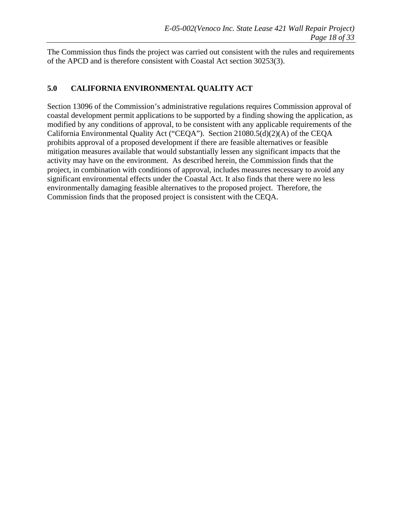The Commission thus finds the project was carried out consistent with the rules and requirements of the APCD and is therefore consistent with Coastal Act section 30253(3).

## **5.0 CALIFORNIA ENVIRONMENTAL QUALITY ACT**

Section 13096 of the Commission's administrative regulations requires Commission approval of coastal development permit applications to be supported by a finding showing the application, as modified by any conditions of approval, to be consistent with any applicable requirements of the California Environmental Quality Act ("CEQA"). Section 21080.5(d)(2)(A) of the CEQA prohibits approval of a proposed development if there are feasible alternatives or feasible mitigation measures available that would substantially lessen any significant impacts that the activity may have on the environment. As described herein, the Commission finds that the project, in combination with conditions of approval, includes measures necessary to avoid any significant environmental effects under the Coastal Act. It also finds that there were no less environmentally damaging feasible alternatives to the proposed project. Therefore, the Commission finds that the proposed project is consistent with the CEQA.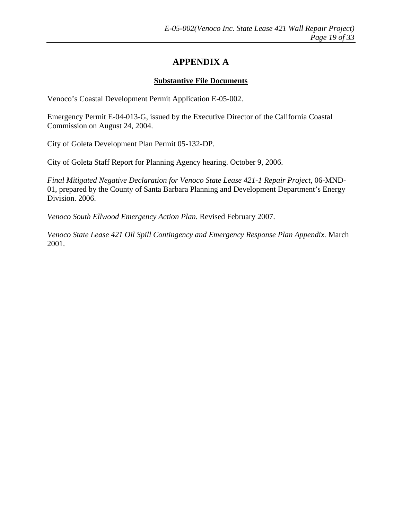# **APPENDIX A**

#### **Substantive File Documents**

Venoco's Coastal Development Permit Application E-05-002.

Emergency Permit E-04-013-G, issued by the Executive Director of the California Coastal Commission on August 24, 2004.

City of Goleta Development Plan Permit 05-132-DP.

City of Goleta Staff Report for Planning Agency hearing. October 9, 2006.

*Final Mitigated Negative Declaration for Venoco State Lease 421-1 Repair Project*, 06-MND-01, prepared by the County of Santa Barbara Planning and Development Department's Energy Division. 2006.

*Venoco South Ellwood Emergency Action Plan.* Revised February 2007.

*Venoco State Lease 421 Oil Spill Contingency and Emergency Response Plan Appendix.* March 2001.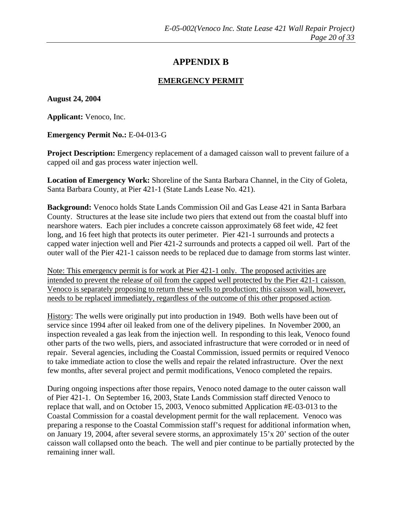# **APPENDIX B**

#### **EMERGENCY PERMIT**

**August 24, 2004** 

**Applicant:** Venoco, Inc.

**Emergency Permit No.:** E-04-013-G

**Project Description:** Emergency replacement of a damaged caisson wall to prevent failure of a capped oil and gas process water injection well.

**Location of Emergency Work:** Shoreline of the Santa Barbara Channel, in the City of Goleta, Santa Barbara County, at Pier 421-1 (State Lands Lease No. 421).

**Background:** Venoco holds State Lands Commission Oil and Gas Lease 421 in Santa Barbara County. Structures at the lease site include two piers that extend out from the coastal bluff into nearshore waters. Each pier includes a concrete caisson approximately 68 feet wide, 42 feet long, and 16 feet high that protects its outer perimeter. Pier 421-1 surrounds and protects a capped water injection well and Pier 421-2 surrounds and protects a capped oil well. Part of the outer wall of the Pier 421-1 caisson needs to be replaced due to damage from storms last winter.

Note: This emergency permit is for work at Pier 421-1 only. The proposed activities are intended to prevent the release of oil from the capped well protected by the Pier 421-1 caisson. Venoco is separately proposing to return these wells to production; this caisson wall, however, needs to be replaced immediately, regardless of the outcome of this other proposed action.

History: The wells were originally put into production in 1949. Both wells have been out of service since 1994 after oil leaked from one of the delivery pipelines. In November 2000, an inspection revealed a gas leak from the injection well. In responding to this leak, Venoco found other parts of the two wells, piers, and associated infrastructure that were corroded or in need of repair. Several agencies, including the Coastal Commission, issued permits or required Venoco to take immediate action to close the wells and repair the related infrastructure. Over the next few months, after several project and permit modifications, Venoco completed the repairs.

During ongoing inspections after those repairs, Venoco noted damage to the outer caisson wall of Pier 421-1. On September 16, 2003, State Lands Commission staff directed Venoco to replace that wall, and on October 15, 2003, Venoco submitted Application #E-03-013 to the Coastal Commission for a coastal development permit for the wall replacement. Venoco was preparing a response to the Coastal Commission staff's request for additional information when, on January 19, 2004, after several severe storms, an approximately 15'x 20' section of the outer caisson wall collapsed onto the beach. The well and pier continue to be partially protected by the remaining inner wall.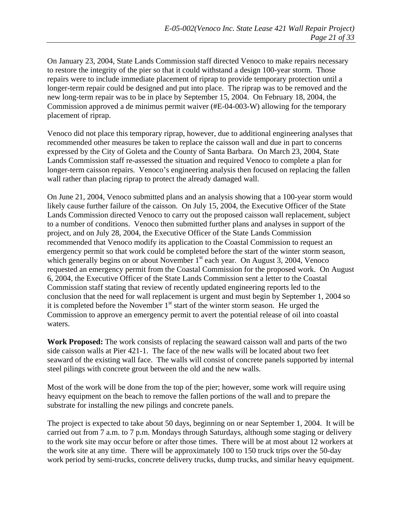On January 23, 2004, State Lands Commission staff directed Venoco to make repairs necessary to restore the integrity of the pier so that it could withstand a design 100-year storm. Those repairs were to include immediate placement of riprap to provide temporary protection until a longer-term repair could be designed and put into place. The riprap was to be removed and the new long-term repair was to be in place by September 15, 2004. On February 18, 2004, the Commission approved a de minimus permit waiver (#E-04-003-W) allowing for the temporary placement of riprap.

Venoco did not place this temporary riprap, however, due to additional engineering analyses that recommended other measures be taken to replace the caisson wall and due in part to concerns expressed by the City of Goleta and the County of Santa Barbara. On March 23, 2004, State Lands Commission staff re-assessed the situation and required Venoco to complete a plan for longer-term caisson repairs. Venoco's engineering analysis then focused on replacing the fallen wall rather than placing riprap to protect the already damaged wall.

On June 21, 2004, Venoco submitted plans and an analysis showing that a 100-year storm would likely cause further failure of the caisson. On July 15, 2004, the Executive Officer of the State Lands Commission directed Venoco to carry out the proposed caisson wall replacement, subject to a number of conditions. Venoco then submitted further plans and analyses in support of the project, and on July 28, 2004, the Executive Officer of the State Lands Commission recommended that Venoco modify its application to the Coastal Commission to request an emergency permit so that work could be completed before the start of the winter storm season, which generally begins on or about November  $1<sup>st</sup>$  each year. On August 3, 2004, Venoco requested an emergency permit from the Coastal Commission for the proposed work. On August 6, 2004, the Executive Officer of the State Lands Commission sent a letter to the Coastal Commission staff stating that review of recently updated engineering reports led to the conclusion that the need for wall replacement is urgent and must begin by September 1, 2004 so it is completed before the November  $1<sup>st</sup>$  start of the winter storm season. He urged the Commission to approve an emergency permit to avert the potential release of oil into coastal waters.

**Work Proposed:** The work consists of replacing the seaward caisson wall and parts of the two side caisson walls at Pier 421-1. The face of the new walls will be located about two feet seaward of the existing wall face. The walls will consist of concrete panels supported by internal steel pilings with concrete grout between the old and the new walls.

Most of the work will be done from the top of the pier; however, some work will require using heavy equipment on the beach to remove the fallen portions of the wall and to prepare the substrate for installing the new pilings and concrete panels.

The project is expected to take about 50 days, beginning on or near September 1, 2004. It will be carried out from 7 a.m. to 7 p.m. Mondays through Saturdays, although some staging or delivery to the work site may occur before or after those times. There will be at most about 12 workers at the work site at any time. There will be approximately 100 to 150 truck trips over the 50-day work period by semi-trucks, concrete delivery trucks, dump trucks, and similar heavy equipment.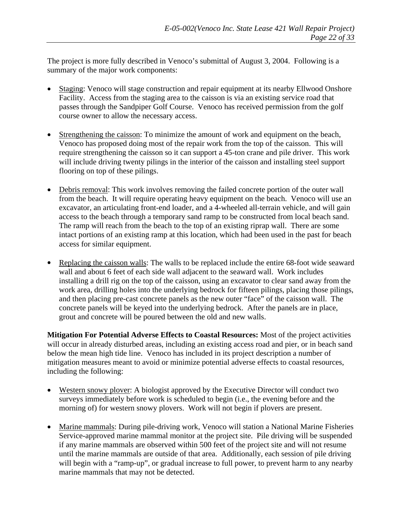The project is more fully described in Venoco's submittal of August 3, 2004. Following is a summary of the major work components:

- Staging: Venoco will stage construction and repair equipment at its nearby Ellwood Onshore Facility. Access from the staging area to the caisson is via an existing service road that passes through the Sandpiper Golf Course. Venoco has received permission from the golf course owner to allow the necessary access.
- Strengthening the caisson: To minimize the amount of work and equipment on the beach, Venoco has proposed doing most of the repair work from the top of the caisson. This will require strengthening the caisson so it can support a 45-ton crane and pile driver. This work will include driving twenty pilings in the interior of the caisson and installing steel support flooring on top of these pilings.
- Debris removal: This work involves removing the failed concrete portion of the outer wall from the beach. It will require operating heavy equipment on the beach. Venoco will use an excavator, an articulating front-end loader, and a 4-wheeled all-terrain vehicle, and will gain access to the beach through a temporary sand ramp to be constructed from local beach sand. The ramp will reach from the beach to the top of an existing riprap wall. There are some intact portions of an existing ramp at this location, which had been used in the past for beach access for similar equipment.
- Replacing the caisson walls: The walls to be replaced include the entire 68-foot wide seaward wall and about 6 feet of each side wall adjacent to the seaward wall. Work includes installing a drill rig on the top of the caisson, using an excavator to clear sand away from the work area, drilling holes into the underlying bedrock for fifteen pilings, placing those pilings, and then placing pre-cast concrete panels as the new outer "face" of the caisson wall. The concrete panels will be keyed into the underlying bedrock. After the panels are in place, grout and concrete will be poured between the old and new walls.

**Mitigation For Potential Adverse Effects to Coastal Resources:** Most of the project activities will occur in already disturbed areas, including an existing access road and pier, or in beach sand below the mean high tide line. Venoco has included in its project description a number of mitigation measures meant to avoid or minimize potential adverse effects to coastal resources, including the following:

- Western snowy plover: A biologist approved by the Executive Director will conduct two surveys immediately before work is scheduled to begin (i.e., the evening before and the morning of) for western snowy plovers. Work will not begin if plovers are present.
- Marine mammals: During pile-driving work, Venoco will station a National Marine Fisheries Service-approved marine mammal monitor at the project site. Pile driving will be suspended if any marine mammals are observed within 500 feet of the project site and will not resume until the marine mammals are outside of that area. Additionally, each session of pile driving will begin with a "ramp-up", or gradual increase to full power, to prevent harm to any nearby marine mammals that may not be detected.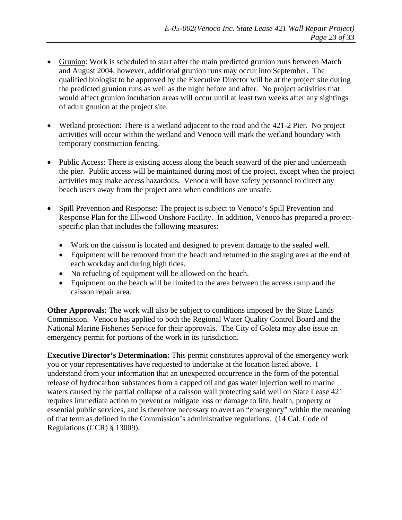- Grunion: Work is scheduled to start after the main predicted grunion runs between March and August 2004; however, additional grunion runs may occur into September. The qualified biologist to be approved by the Executive Director will be at the project site during the predicted grunion runs as well as the night before and after. No project activities that would affect grunion incubation areas will occur until at least two weeks after any sightings of adult grunion at the project site.
- Wetland protection: There is a wetland adjacent to the road and the 421-2 Pier. No project activities will occur within the wetland and Venoco will mark the wetland boundary with temporary construction fencing.
- Public Access: There is existing access along the beach seaward of the pier and underneath the pier. Public access will be maintained during most of the project, except when the project activities may make access hazardous. Venoco will have safety personnel to direct any beach users away from the project area when conditions are unsafe.
- Spill Prevention and Response: The project is subject to Venoco's Spill Prevention and Response Plan for the Ellwood Onshore Facility. In addition, Venoco has prepared a projectspecific plan that includes the following measures:
	- Work on the caisson is located and designed to prevent damage to the sealed well.
	- Equipment will be removed from the beach and returned to the staging area at the end of each workday and during high tides.
	- No refueling of equipment will be allowed on the beach.
	- Equipment on the beach will be limited to the area between the access ramp and the caisson repair area.

**Other Approvals:** The work will also be subject to conditions imposed by the State Lands Commission. Venoco has applied to both the Regional Water Quality Control Board and the National Marine Fisheries Service for their approvals. The City of Goleta may also issue an emergency permit for portions of the work in its jurisdiction.

**Executive Director's Determination:** This permit constitutes approval of the emergency work you or your representatives have requested to undertake at the location listed above. I understand from your information that an unexpected occurrence in the form of the potential release of hydrocarbon substances from a capped oil and gas water injection well to marine waters caused by the partial collapse of a caisson wall protecting said well on State Lease 421 requires immediate action to prevent or mitigate loss or damage to life, health, property or essential public services, and is therefore necessary to avert an "emergency" within the meaning of that term as defined in the Commission's administrative regulations. (14 Cal. Code of Regulations (CCR) § 13009).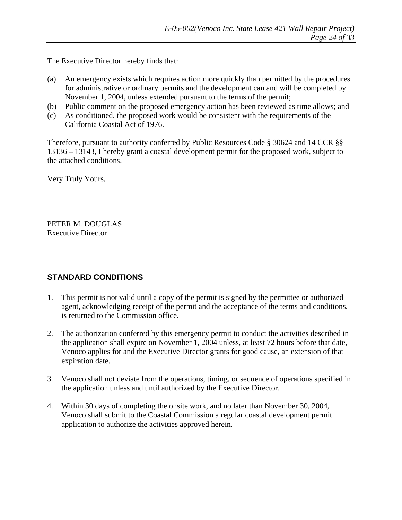The Executive Director hereby finds that:

- (a) An emergency exists which requires action more quickly than permitted by the procedures for administrative or ordinary permits and the development can and will be completed by November 1, 2004, unless extended pursuant to the terms of the permit;
- (b) Public comment on the proposed emergency action has been reviewed as time allows; and
- (c) As conditioned, the proposed work would be consistent with the requirements of the California Coastal Act of 1976.

Therefore, pursuant to authority conferred by Public Resources Code § 30624 and 14 CCR §§ 13136 – 13143, I hereby grant a coastal development permit for the proposed work, subject to the attached conditions.

Very Truly Yours,

\_\_\_\_\_\_\_\_\_\_\_\_\_\_\_\_\_\_\_\_\_\_\_\_\_\_ PETER M. DOUGLAS Executive Director

# **STANDARD CONDITIONS**

- 1. This permit is not valid until a copy of the permit is signed by the permittee or authorized agent, acknowledging receipt of the permit and the acceptance of the terms and conditions, is returned to the Commission office.
- 2. The authorization conferred by this emergency permit to conduct the activities described in the application shall expire on November 1, 2004 unless, at least 72 hours before that date, Venoco applies for and the Executive Director grants for good cause, an extension of that expiration date.
- 3. Venoco shall not deviate from the operations, timing, or sequence of operations specified in the application unless and until authorized by the Executive Director.
- 4. Within 30 days of completing the onsite work, and no later than November 30, 2004, Venoco shall submit to the Coastal Commission a regular coastal development permit application to authorize the activities approved herein.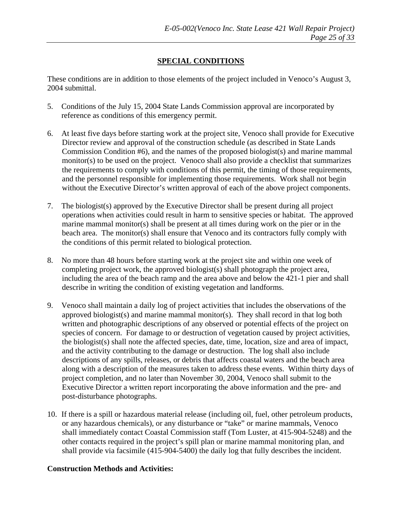#### **SPECIAL CONDITIONS**

These conditions are in addition to those elements of the project included in Venoco's August 3, 2004 submittal.

- 5. Conditions of the July 15, 2004 State Lands Commission approval are incorporated by reference as conditions of this emergency permit.
- 6. At least five days before starting work at the project site, Venoco shall provide for Executive Director review and approval of the construction schedule (as described in State Lands Commission Condition #6), and the names of the proposed biologist(s) and marine mammal monitor(s) to be used on the project. Venoco shall also provide a checklist that summarizes the requirements to comply with conditions of this permit, the timing of those requirements, and the personnel responsible for implementing those requirements. Work shall not begin without the Executive Director's written approval of each of the above project components.
- 7. The biologist(s) approved by the Executive Director shall be present during all project operations when activities could result in harm to sensitive species or habitat. The approved marine mammal monitor(s) shall be present at all times during work on the pier or in the beach area. The monitor(s) shall ensure that Venoco and its contractors fully comply with the conditions of this permit related to biological protection.
- 8. No more than 48 hours before starting work at the project site and within one week of completing project work, the approved biologist(s) shall photograph the project area, including the area of the beach ramp and the area above and below the 421-1 pier and shall describe in writing the condition of existing vegetation and landforms.
- 9. Venoco shall maintain a daily log of project activities that includes the observations of the approved biologist(s) and marine mammal monitor(s). They shall record in that log both written and photographic descriptions of any observed or potential effects of the project on species of concern. For damage to or destruction of vegetation caused by project activities, the biologist(s) shall note the affected species, date, time, location, size and area of impact, and the activity contributing to the damage or destruction. The log shall also include descriptions of any spills, releases, or debris that affects coastal waters and the beach area along with a description of the measures taken to address these events. Within thirty days of project completion, and no later than November 30, 2004, Venoco shall submit to the Executive Director a written report incorporating the above information and the pre- and post-disturbance photographs.
- 10. If there is a spill or hazardous material release (including oil, fuel, other petroleum products, or any hazardous chemicals), or any disturbance or "take" or marine mammals, Venoco shall immediately contact Coastal Commission staff (Tom Luster, at 415-904-5248) and the other contacts required in the project's spill plan or marine mammal monitoring plan, and shall provide via facsimile (415-904-5400) the daily log that fully describes the incident.

#### **Construction Methods and Activities:**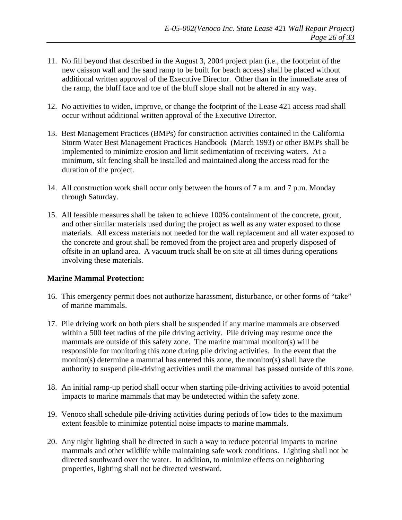- 11. No fill beyond that described in the August 3, 2004 project plan (i.e., the footprint of the new caisson wall and the sand ramp to be built for beach access) shall be placed without additional written approval of the Executive Director. Other than in the immediate area of the ramp, the bluff face and toe of the bluff slope shall not be altered in any way.
- 12. No activities to widen, improve, or change the footprint of the Lease 421 access road shall occur without additional written approval of the Executive Director.
- 13. Best Management Practices (BMPs) for construction activities contained in the California Storm Water Best Management Practices Handbook (March 1993) or other BMPs shall be implemented to minimize erosion and limit sedimentation of receiving waters. At a minimum, silt fencing shall be installed and maintained along the access road for the duration of the project.
- 14. All construction work shall occur only between the hours of 7 a.m. and 7 p.m. Monday through Saturday.
- 15. All feasible measures shall be taken to achieve 100% containment of the concrete, grout, and other similar materials used during the project as well as any water exposed to those materials. All excess materials not needed for the wall replacement and all water exposed to the concrete and grout shall be removed from the project area and properly disposed of offsite in an upland area. A vacuum truck shall be on site at all times during operations involving these materials.

#### **Marine Mammal Protection:**

- 16. This emergency permit does not authorize harassment, disturbance, or other forms of "take" of marine mammals.
- 17. Pile driving work on both piers shall be suspended if any marine mammals are observed within a 500 feet radius of the pile driving activity. Pile driving may resume once the mammals are outside of this safety zone. The marine mammal monitor(s) will be responsible for monitoring this zone during pile driving activities. In the event that the monitor(s) determine a mammal has entered this zone, the monitor(s) shall have the authority to suspend pile-driving activities until the mammal has passed outside of this zone.
- 18. An initial ramp-up period shall occur when starting pile-driving activities to avoid potential impacts to marine mammals that may be undetected within the safety zone.
- 19. Venoco shall schedule pile-driving activities during periods of low tides to the maximum extent feasible to minimize potential noise impacts to marine mammals.
- 20. Any night lighting shall be directed in such a way to reduce potential impacts to marine mammals and other wildlife while maintaining safe work conditions. Lighting shall not be directed southward over the water. In addition, to minimize effects on neighboring properties, lighting shall not be directed westward.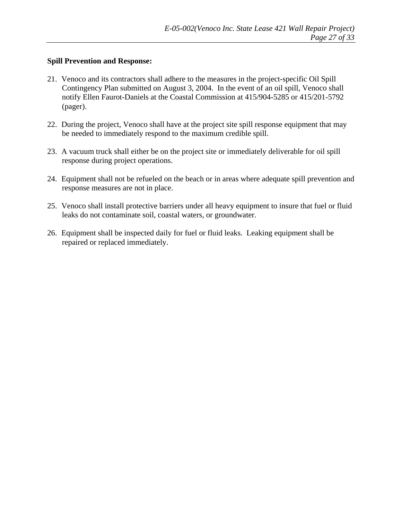#### **Spill Prevention and Response:**

- 21. Venoco and its contractors shall adhere to the measures in the project-specific Oil Spill Contingency Plan submitted on August 3, 2004. In the event of an oil spill, Venoco shall notify Ellen Faurot-Daniels at the Coastal Commission at 415/904-5285 or 415/201-5792 (pager).
- 22. During the project, Venoco shall have at the project site spill response equipment that may be needed to immediately respond to the maximum credible spill.
- 23. A vacuum truck shall either be on the project site or immediately deliverable for oil spill response during project operations.
- 24. Equipment shall not be refueled on the beach or in areas where adequate spill prevention and response measures are not in place.
- 25. Venoco shall install protective barriers under all heavy equipment to insure that fuel or fluid leaks do not contaminate soil, coastal waters, or groundwater.
- 26. Equipment shall be inspected daily for fuel or fluid leaks. Leaking equipment shall be repaired or replaced immediately.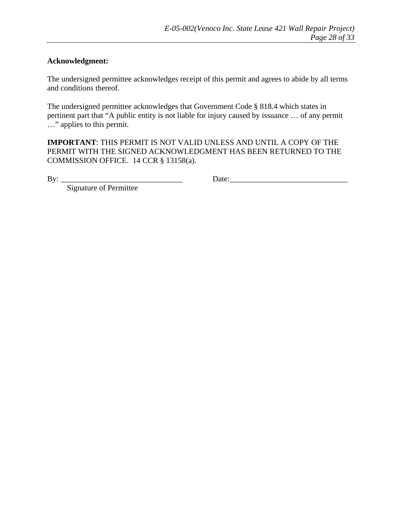#### **Acknowledgment:**

The undersigned permittee acknowledges receipt of this permit and agrees to abide by all terms and conditions thereof.

The undersigned permittee acknowledges that Government Code § 818.4 which states in pertinent part that "A public entity is not liable for injury caused by issuance … of any permit …" applies to this permit.

**IMPORTANT**: THIS PERMIT IS NOT VALID UNLESS AND UNTIL A COPY OF THE PERMIT WITH THE SIGNED ACKNOWLEDGMENT HAS BEEN RETURNED TO THE COMMISSION OFFICE. 14 CCR § 13158(a).

By: \_\_\_\_\_\_\_\_\_\_\_\_\_\_\_\_\_\_\_\_\_\_\_\_\_\_\_\_\_\_\_ Date:\_\_\_\_\_\_\_\_\_\_\_\_\_\_\_\_\_\_\_\_\_\_\_\_\_\_\_\_\_\_

Signature of Permittee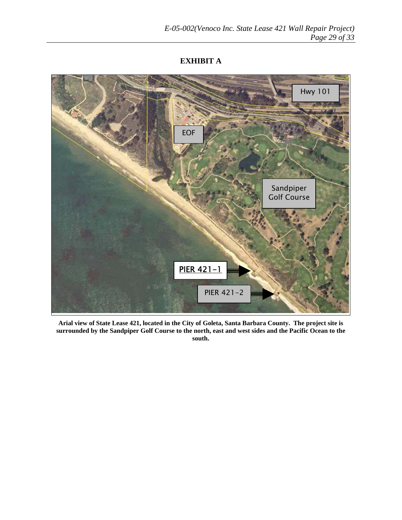#### **EXHIBIT A**



**Arial view of State Lease 421, located in the City of Goleta, Santa Barbara County. The project site is surrounded by the Sandpiper Golf Course to the north, east and west sides and the Pacific Ocean to the south.**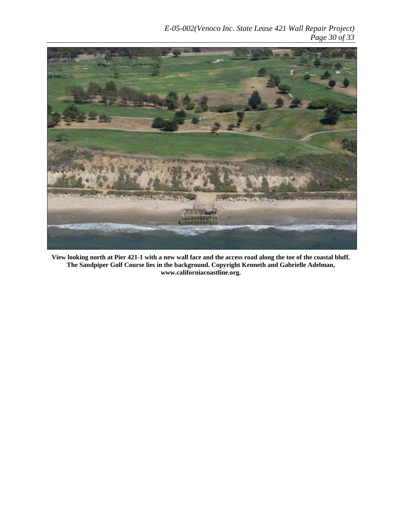

**View looking north at Pier 421-1 with a new wall face and the access road along the toe of the coastal bluff. The Sandpiper Golf Course lies in the background. Copyright Kenneth and Gabrielle Adelman, www.californiacoastline.org.**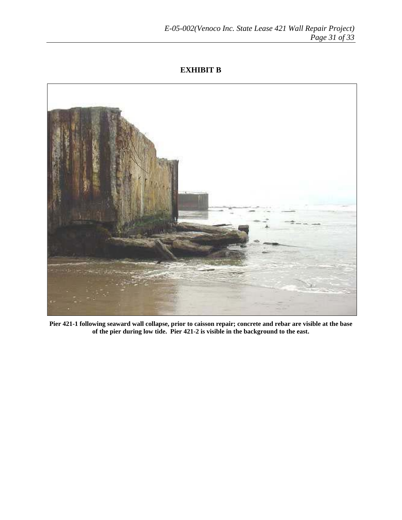#### **EXHIBIT B**



**Pier 421-1 following seaward wall collapse, prior to caisson repair; concrete and rebar are visible at the base of the pier during low tide. Pier 421-2 is visible in the background to the east.**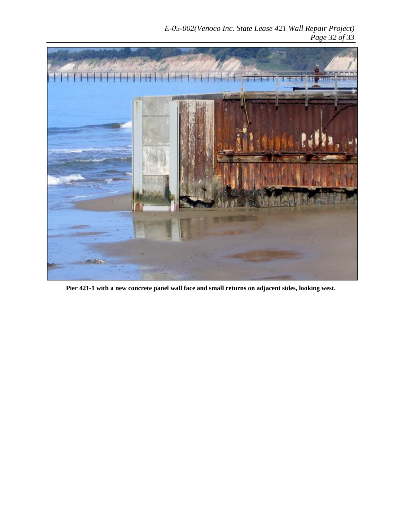

**Pier 421-1 with a new concrete panel wall face and small returns on adjacent sides, looking west.**